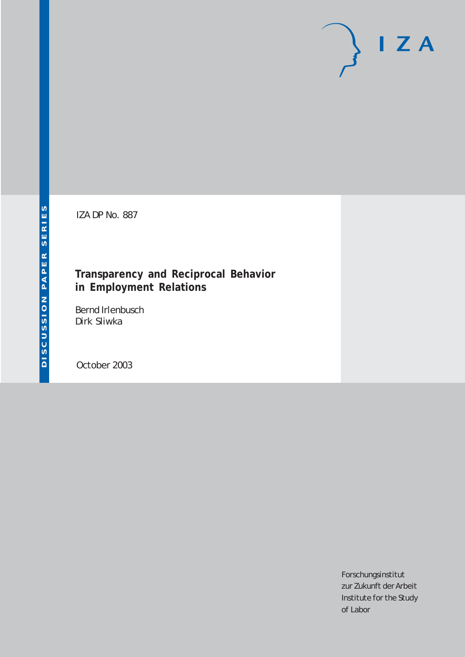# $I Z A$

IZA DP No. 887

## **Transparency and Reciprocal Behavior in Employment Relations**

Bernd Irlenbusch Dirk Sliwka

October 2003

Forschungsinstitut zur Zukunft der Arbeit Institute for the Study of Labor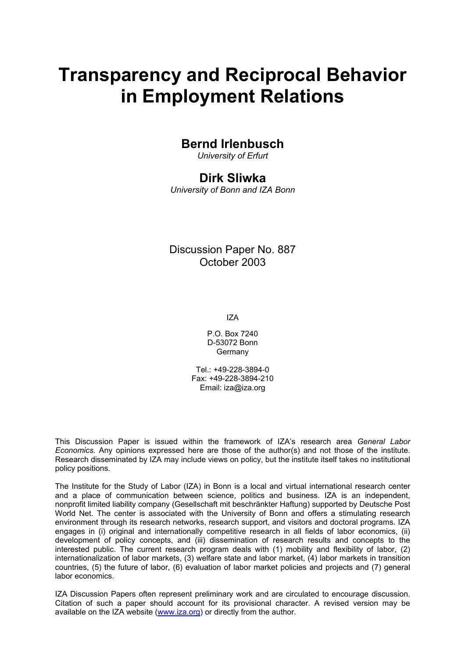# **Transparency and Reciprocal Behavior in Employment Relations**

## **Bernd Irlenbusch**

*University of Erfurt* 

## **Dirk Sliwka**

*University of Bonn and IZA Bonn* 

Discussion Paper No. 887 October 2003

IZA

P.O. Box 7240 D-53072 Bonn Germany

Tel.: +49-228-3894-0 Fax: +49-228-3894-210 Email: [iza@iza.org](mailto:iza@iza.org)

This Discussion Paper is issued within the framework of IZA's research area *General Labor Economics.* Any opinions expressed here are those of the author(s) and not those of the institute. Research disseminated by IZA may include views on policy, but the institute itself takes no institutional policy positions.

The Institute for the Study of Labor (IZA) in Bonn is a local and virtual international research center and a place of communication between science, politics and business. IZA is an independent, nonprofit limited liability company (Gesellschaft mit beschränkter Haftung) supported by Deutsche Post World Net. The center is associated with the University of Bonn and offers a stimulating research environment through its research networks, research support, and visitors and doctoral programs. IZA engages in (i) original and internationally competitive research in all fields of labor economics, (ii) development of policy concepts, and (iii) dissemination of research results and concepts to the interested public. The current research program deals with (1) mobility and flexibility of labor, (2) internationalization of labor markets, (3) welfare state and labor market, (4) labor markets in transition countries, (5) the future of labor, (6) evaluation of labor market policies and projects and (7) general labor economics.

IZA Discussion Papers often represent preliminary work and are circulated to encourage discussion. Citation of such a paper should account for its provisional character. A revised version may be available on the IZA website ([www.iza.org](http://www.iza.org/)) or directly from the author.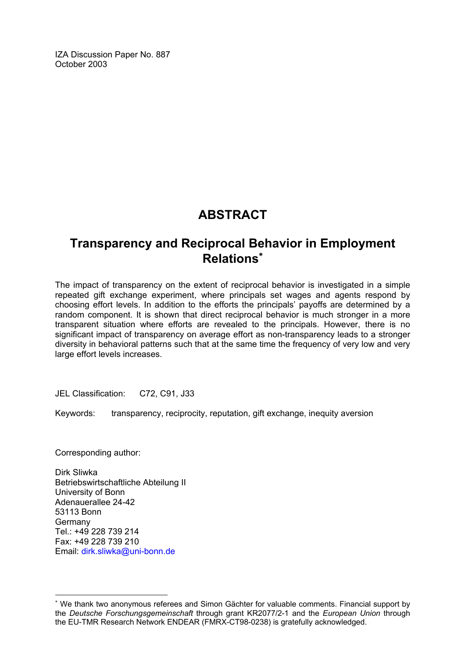IZA Discussion Paper No. 887 October 2003

## **ABSTRACT**

## **Transparency and Reciprocal Behavior in Employment Relations**[∗](#page-2-0)

The impact of transparency on the extent of reciprocal behavior is investigated in a simple repeated gift exchange experiment, where principals set wages and agents respond by choosing effort levels. In addition to the efforts the principals' payoffs are determined by a random component. It is shown that direct reciprocal behavior is much stronger in a more transparent situation where efforts are revealed to the principals. However, there is no significant impact of transparency on average effort as non-transparency leads to a stronger diversity in behavioral patterns such that at the same time the frequency of very low and very large effort levels increases.

JEL Classification: C72, C91, J33

Keywords: transparency, reciprocity, reputation, gift exchange, inequity aversion

Corresponding author:

 $\overline{a}$ 

Dirk Sliwka Betriebswirtschaftliche Abteilung II University of Bonn Adenauerallee 24-42 53113 Bonn Germany Tel.: +49 228 739 214 Fax: +49 228 739 210 Email: [dirk.sliwka@uni-bonn.de](mailto:dirk.sliwka@uni-bonn.de)

<span id="page-2-0"></span><sup>∗</sup> We thank two anonymous referees and Simon Gächter for valuable comments. Financial support by the *Deutsche Forschungsgemeinschaft* through grant KR2077/2-1 and the *European Union* through the EU-TMR Research Network ENDEAR (FMRX-CT98-0238) is gratefully acknowledged.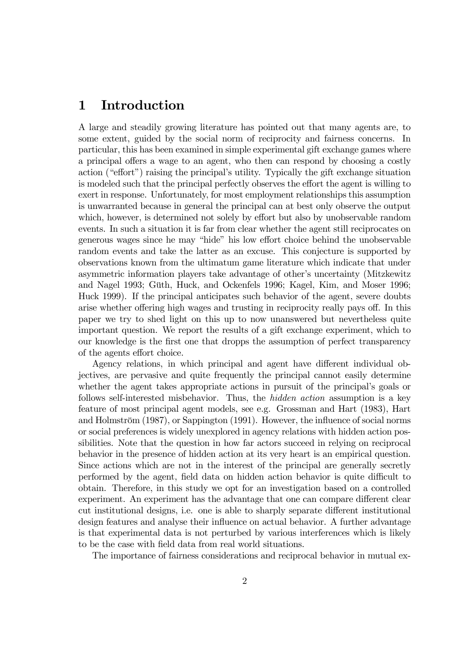## 1 Introduction

A large and steadily growing literature has pointed out that many agents are, to some extent, guided by the social norm of reciprocity and fairness concerns. In particular, this has been examined in simple experimental gift exchange games where a principal offers a wage to an agent, who then can respond by choosing a costly action ("effort") raising the principal's utility. Typically the gift exchange situation is modeled such that the principal perfectly observes the effort the agent is willing to exert in response. Unfortunately, for most employment relationships this assumption is unwarranted because in general the principal can at best only observe the output which, however, is determined not solely by effort but also by unobservable random events. In such a situation it is far from clear whether the agent still reciprocates on generous wages since he may "hide" his low effort choice behind the unobservable random events and take the latter as an excuse. This conjecture is supported by observations known from the ultimatum game literature which indicate that under asymmetric information players take advantage of other's uncertainty (Mitzkewitz and Nagel 1993; Güth, Huck, and Ockenfels 1996; Kagel, Kim, and Moser 1996; Huck 1999). If the principal anticipates such behavior of the agent, severe doubts arise whether offering high wages and trusting in reciprocity really pays off. In this paper we try to shed light on this up to now unanswered but nevertheless quite important question. We report the results of a gift exchange experiment, which to our knowledge is the first one that dropps the assumption of perfect transparency of the agents effort choice.

Agency relations, in which principal and agent have different individual objectives, are pervasive and quite frequently the principal cannot easily determine whether the agent takes appropriate actions in pursuit of the principal's goals or follows self-interested misbehavior. Thus, the hidden action assumption is a key feature of most principal agent models, see e.g. Grossman and Hart (1983), Hart and Holmström (1987), or Sappington (1991). However, the influence of social norms or social preferences is widely unexplored in agency relations with hidden action possibilities. Note that the question in how far actors succeed in relying on reciprocal behavior in the presence of hidden action at its very heart is an empirical question. Since actions which are not in the interest of the principal are generally secretly performed by the agent, field data on hidden action behavior is quite difficult to obtain. Therefore, in this study we opt for an investigation based on a controlled experiment. An experiment has the advantage that one can compare different clear cut institutional designs, i.e. one is able to sharply separate different institutional design features and analyse their influence on actual behavior. A further advantage is that experimental data is not perturbed by various interferences which is likely to be the case with field data from real world situations.

The importance of fairness considerations and reciprocal behavior in mutual ex-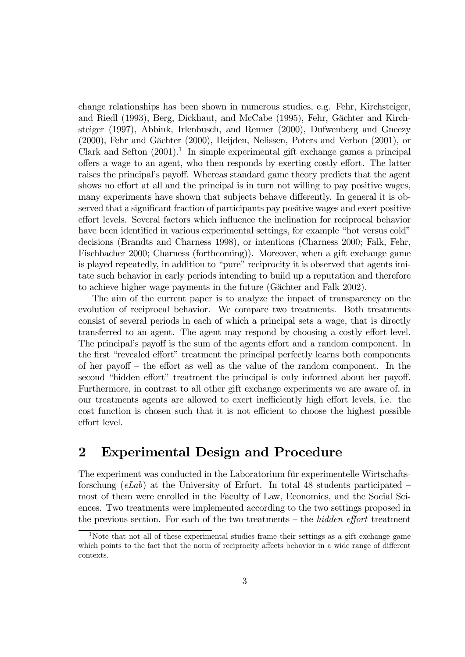change relationships has been shown in numerous studies, e.g. Fehr, Kirchsteiger, and Riedl (1993), Berg, Dickhaut, and McCabe (1995), Fehr, Gächter and Kirchsteiger (1997), Abbink, Irlenbusch, and Renner (2000), Dufwenberg and Gneezy (2000), Fehr and Gächter (2000), Heijden, Nelissen, Poters and Verbon (2001), or Clark and Sefton  $(2001)^{1}$ . In simple experimental gift exchange games a principal offers a wage to an agent, who then responds by exerting costly effort. The latter raises the principal's payoff. Whereas standard game theory predicts that the agent shows no effort at all and the principal is in turn not willing to pay positive wages, many experiments have shown that subjects behave differently. In general it is observed that a significant fraction of participants pay positive wages and exert positive effort levels. Several factors which influence the inclination for reciprocal behavior have been identified in various experimental settings, for example "hot versus cold" decisions (Brandts and Charness 1998), or intentions (Charness 2000; Falk, Fehr, Fischbacher 2000; Charness (forthcoming)). Moreover, when a gift exchange game is played repeatedly, in addition to "pure" reciprocity it is observed that agents imitate such behavior in early periods intending to build up a reputation and therefore to achieve higher wage payments in the future (Gächter and Falk 2002).

The aim of the current paper is to analyze the impact of transparency on the evolution of reciprocal behavior. We compare two treatments. Both treatments consist of several periods in each of which a principal sets a wage, that is directly transferred to an agent. The agent may respond by choosing a costly effort level. The principal's payoff is the sum of the agents effort and a random component. In the first "revealed effort" treatment the principal perfectly learns both components of her payoff — the effort as well as the value of the random component. In the second "hidden effort" treatment the principal is only informed about her payoff. Furthermore, in contrast to all other gift exchange experiments we are aware of, in our treatments agents are allowed to exert inefficiently high effort levels, i.e. the cost function is chosen such that it is not efficient to choose the highest possible effort level.

## 2 Experimental Design and Procedure

The experiment was conducted in the Laboratorium für experimentelle Wirtschaftsforschung  $(eLab)$  at the University of Erfurt. In total 48 students participated – most of them were enrolled in the Faculty of Law, Economics, and the Social Sciences. Two treatments were implemented according to the two settings proposed in the previous section. For each of the two treatments  $-$  the *hidden effort* treatment

<sup>&</sup>lt;sup>1</sup>Note that not all of these experimental studies frame their settings as a gift exchange game which points to the fact that the norm of reciprocity affects behavior in a wide range of different contexts.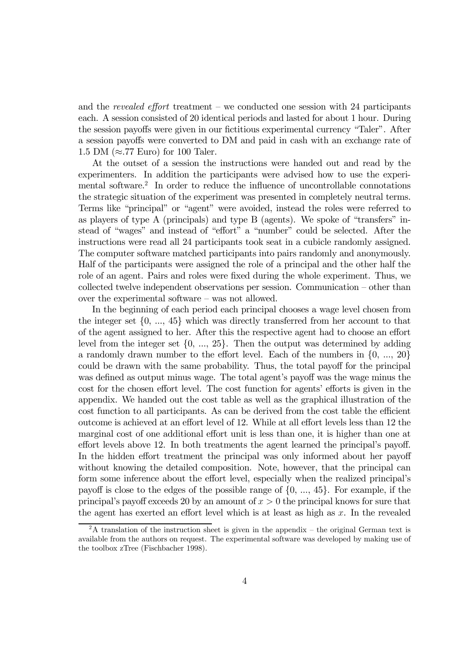and the *revealed effort* treatment – we conducted one session with 24 participants each. A session consisted of 20 identical periods and lasted for about 1 hour. During the session payoffs were given in our fictitious experimental currency "Taler". After a session payoffs were converted to DM and paid in cash with an exchange rate of 1.5 DM ( $\approx$ .77 Euro) for 100 Taler.

At the outset of a session the instructions were handed out and read by the experimenters. In addition the participants were advised how to use the experimental software.2 In order to reduce the influence of uncontrollable connotations the strategic situation of the experiment was presented in completely neutral terms. Terms like "principal" or "agent" were avoided, instead the roles were referred to as players of type A (principals) and type B (agents). We spoke of "transfers" instead of "wages" and instead of "effort" a "number" could be selected. After the instructions were read all 24 participants took seat in a cubicle randomly assigned. The computer software matched participants into pairs randomly and anonymously. Half of the participants were assigned the role of a principal and the other half the role of an agent. Pairs and roles were fixed during the whole experiment. Thus, we collected twelve independent observations per session. Communication — other than over the experimental software — was not allowed.

In the beginning of each period each principal chooses a wage level chosen from the integer set  $\{0, ..., 45\}$  which was directly transferred from her account to that of the agent assigned to her. After this the respective agent had to choose an effort level from the integer set  $\{0, ..., 25\}$ . Then the output was determined by adding a randomly drawn number to the effort level. Each of the numbers in  $\{0, ..., 20\}$ could be drawn with the same probability. Thus, the total payoff for the principal was defined as output minus wage. The total agent's payoff was the wage minus the cost for the chosen effort level. The cost function for agents' efforts is given in the appendix. We handed out the cost table as well as the graphical illustration of the cost function to all participants. As can be derived from the cost table the efficient outcome is achieved at an effort level of 12. While at all effort levels less than 12 the marginal cost of one additional effort unit is less than one, it is higher than one at effort levels above 12. In both treatments the agent learned the principal's payoff. In the hidden effort treatment the principal was only informed about her payoff without knowing the detailed composition. Note, however, that the principal can form some inference about the effort level, especially when the realized principal's payoff is close to the edges of the possible range of  $\{0, ..., 45\}$ . For example, if the principal's payoff exceeds 20 by an amount of  $x > 0$  the principal knows for sure that the agent has exerted an effort level which is at least as high as  $x$ . In the revealed

<sup>&</sup>lt;sup>2</sup>A translation of the instruction sheet is given in the appendix – the original German text is available from the authors on request. The experimental software was developed by making use of the toolbox zTree (Fischbacher 1998).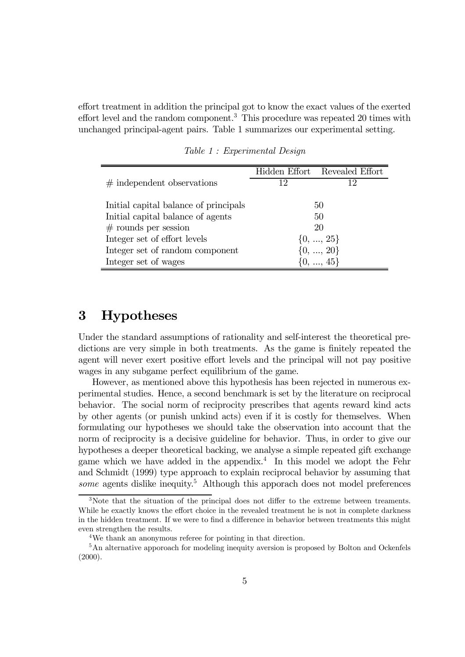effort treatment in addition the principal got to know the exact values of the exerted effort level and the random component.3 This procedure was repeated 20 times with unchanged principal-agent pairs. Table 1 summarizes our experimental setting.

|                                       |    | Hidden Effort Revealed Effort |
|---------------------------------------|----|-------------------------------|
| $#$ independent observations          | 19 | 19                            |
|                                       |    |                               |
| Initial capital balance of principals |    | 50                            |
| Initial capital balance of agents     |    | 50                            |
| $#$ rounds per session                |    | 20                            |
| Integer set of effort levels          |    | $\{0, , 25\}$                 |
| Integer set of random component       |    | $\{0, , 20\}$                 |
| Integer set of wages                  |    | $\{0, , 45\}$                 |

Table 1 : Experimental Design

## 3 Hypotheses

Under the standard assumptions of rationality and self-interest the theoretical predictions are very simple in both treatments. As the game is finitely repeated the agent will never exert positive effort levels and the principal will not pay positive wages in any subgame perfect equilibrium of the game.

However, as mentioned above this hypothesis has been rejected in numerous experimental studies. Hence, a second benchmark is set by the literature on reciprocal behavior. The social norm of reciprocity prescribes that agents reward kind acts by other agents (or punish unkind acts) even if it is costly for themselves. When formulating our hypotheses we should take the observation into account that the norm of reciprocity is a decisive guideline for behavior. Thus, in order to give our hypotheses a deeper theoretical backing, we analyse a simple repeated gift exchange game which we have added in the appendix.<sup>4</sup> In this model we adopt the Fehr and Schmidt (1999) type approach to explain reciprocal behavior by assuming that some agents dislike inequity.<sup>5</sup> Although this apporach does not model preferences

<sup>3</sup>Note that the situation of the principal does not differ to the extreme between treaments. While he exactly knows the effort choice in the revealed treatment he is not in complete darkness in the hidden treatment. If we were to find a difference in behavior between treatments this might even strengthen the results.

<sup>&</sup>lt;sup>4</sup>We thank an anonymous referee for pointing in that direction.

<sup>&</sup>lt;sup>5</sup>An alternative apporoach for modeling inequity aversion is proposed by Bolton and Ockenfels (2000).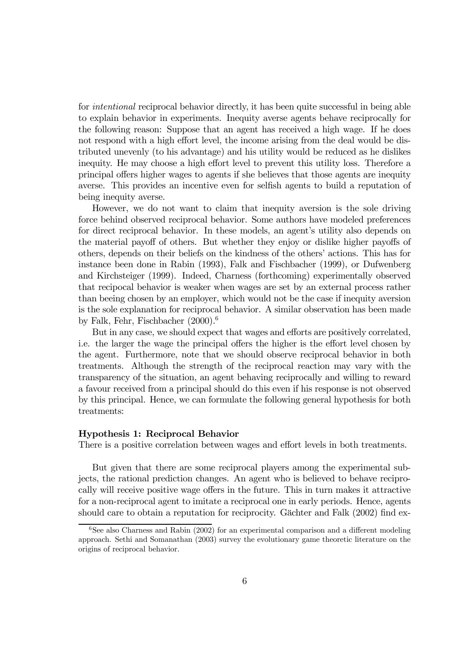for intentional reciprocal behavior directly, it has been quite successful in being able to explain behavior in experiments. Inequity averse agents behave reciprocally for the following reason: Suppose that an agent has received a high wage. If he does not respond with a high effort level, the income arising from the deal would be distributed unevenly (to his advantage) and his utility would be reduced as he dislikes inequity. He may choose a high effort level to prevent this utility loss. Therefore a principal offers higher wages to agents if she believes that those agents are inequity averse. This provides an incentive even for selfish agents to build a reputation of being inequity averse.

However, we do not want to claim that inequity aversion is the sole driving force behind observed reciprocal behavior. Some authors have modeled preferences for direct reciprocal behavior. In these models, an agent's utility also depends on the material payoff of others. But whether they enjoy or dislike higher payoffs of others, depends on their beliefs on the kindness of the others' actions. This has for instance been done in Rabin (1993), Falk and Fischbacher (1999), or Dufwenberg and Kirchsteiger (1999). Indeed, Charness (forthcoming) experimentally observed that recipocal behavior is weaker when wages are set by an external process rather than beeing chosen by an employer, which would not be the case if inequity aversion is the sole explanation for reciprocal behavior. A similar observation has been made by Falk, Fehr, Fischbacher  $(2000).<sup>6</sup>$ 

But in any case, we should expect that wages and efforts are positively correlated, i.e. the larger the wage the principal offers the higher is the effort level chosen by the agent. Furthermore, note that we should observe reciprocal behavior in both treatments. Although the strength of the reciprocal reaction may vary with the transparency of the situation, an agent behaving reciprocally and willing to reward a favour received from a principal should do this even if his response is not observed by this principal. Hence, we can formulate the following general hypothesis for both treatments:

#### Hypothesis 1: Reciprocal Behavior

There is a positive correlation between wages and effort levels in both treatments.

But given that there are some reciprocal players among the experimental subjects, the rational prediction changes. An agent who is believed to behave reciprocally will receive positive wage offers in the future. This in turn makes it attractive for a non-reciprocal agent to imitate a reciprocal one in early periods. Hence, agents should care to obtain a reputation for reciprocity. Gächter and Falk (2002) find ex-

 $6$ See also Charness and Rabin (2002) for an experimental comparison and a different modeling approach. Sethi and Somanathan (2003) survey the evolutionary game theoretic literature on the origins of reciprocal behavior.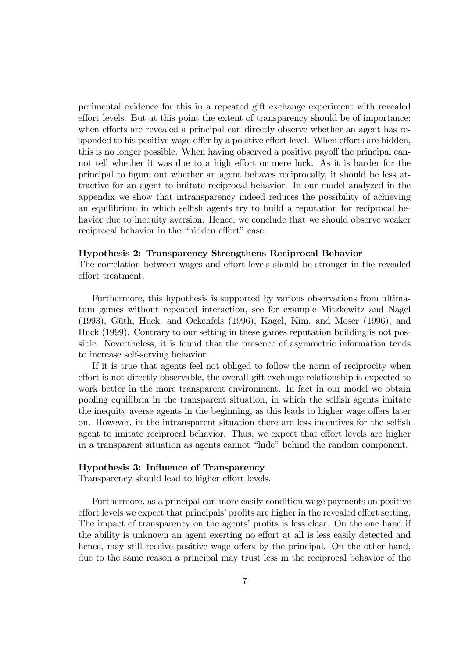perimental evidence for this in a repeated gift exchange experiment with revealed effort levels. But at this point the extent of transparency should be of importance: when efforts are revealed a principal can directly observe whether an agent has responded to his positive wage offer by a positive effort level. When efforts are hidden, this is no longer possible. When having observed a positive payoff the principal cannot tell whether it was due to a high effort or mere luck. As it is harder for the principal to figure out whether an agent behaves reciprocally, it should be less attractive for an agent to imitate reciprocal behavior. In our model analyzed in the appendix we show that intransparency indeed reduces the possibility of achieving an equilibrium in which selfish agents try to build a reputation for reciprocal behavior due to inequity aversion. Hence, we conclude that we should observe weaker reciprocal behavior in the "hidden effort" case:

#### Hypothesis 2: Transparency Strengthens Reciprocal Behavior

The correlation between wages and effort levels should be stronger in the revealed effort treatment.

Furthermore, this hypothesis is supported by various observations from ultimatum games without repeated interaction, see for example Mitzkewitz and Nagel (1993), Güth, Huck, and Ockenfels (1996), Kagel, Kim, and Moser (1996), and Huck (1999). Contrary to our setting in these games reputation building is not possible. Nevertheless, it is found that the presence of asymmetric information tends to increase self-serving behavior.

If it is true that agents feel not obliged to follow the norm of reciprocity when effort is not directly observable, the overall gift exchange relationship is expected to work better in the more transparent environment. In fact in our model we obtain pooling equilibria in the transparent situation, in which the selfish agents imitate the inequity averse agents in the beginning, as this leads to higher wage offers later on. However, in the intransparent situation there are less incentives for the selfish agent to imitate reciprocal behavior. Thus, we expect that effort levels are higher in a transparent situation as agents cannot "hide" behind the random component.

#### Hypothesis 3: Influence of Transparency

Transparency should lead to higher effort levels.

Furthermore, as a principal can more easily condition wage payments on positive effort levels we expect that principals' profits are higher in the revealed effort setting. The impact of transparency on the agents' profits is less clear. On the one hand if the ability is unknown an agent exerting no effort at all is less easily detected and hence, may still receive positive wage offers by the principal. On the other hand, due to the same reason a principal may trust less in the reciprocal behavior of the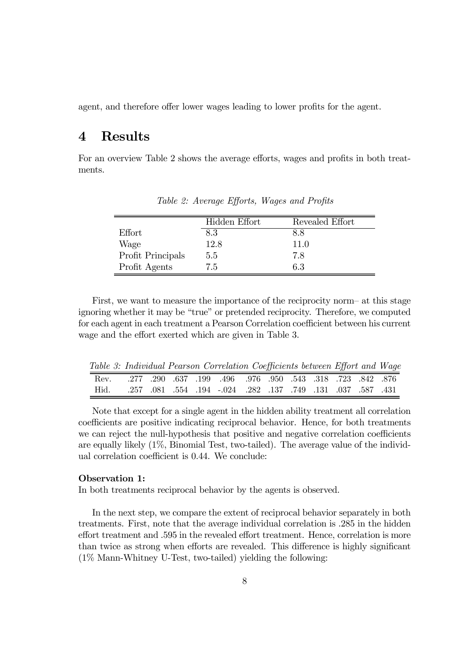agent, and therefore offer lower wages leading to lower profits for the agent.

## 4 Results

For an overview Table 2 shows the average efforts, wages and profits in both treatments.

|                   | Hidden Effort | Revealed Effort |
|-------------------|---------------|-----------------|
| Effort            | $8.3\,$       | 8.8             |
| Wage              | 12.8          | 11.0            |
| Profit Principals | $5.5\,$       | 7.8             |
| Profit Agents     | 7.5           | 6.3             |

Table 2: Average Efforts, Wages and Profits

First, we want to measure the importance of the reciprocity norm— at this stage ignoring whether it may be "true" or pretended reciprocity. Therefore, we computed for each agent in each treatment a Pearson Correlation coefficient between his current wage and the effort exerted which are given in Table 3.

| Table 3: Individual Pearson Correlation Coefficients between Effort and Wage |  |  |                                                                   |  |  |  |  |
|------------------------------------------------------------------------------|--|--|-------------------------------------------------------------------|--|--|--|--|
|                                                                              |  |  |                                                                   |  |  |  |  |
| Hid.                                                                         |  |  | .431 .587 .587 .587 .131 .554 .024 .282 .137 .749 .131 .037 .554. |  |  |  |  |

Note that except for a single agent in the hidden ability treatment all correlation coefficients are positive indicating reciprocal behavior. Hence, for both treatments we can reject the null-hypothesis that positive and negative correlation coefficients are equally likely (1%, Binomial Test, two-tailed). The average value of the individual correlation coefficient is 0.44. We conclude:

#### Observation 1:

In both treatments reciprocal behavior by the agents is observed.

In the next step, we compare the extent of reciprocal behavior separately in both treatments. First, note that the average individual correlation is .285 in the hidden effort treatment and .595 in the revealed effort treatment. Hence, correlation is more than twice as strong when efforts are revealed. This difference is highly significant (1% Mann-Whitney U-Test, two-tailed) yielding the following: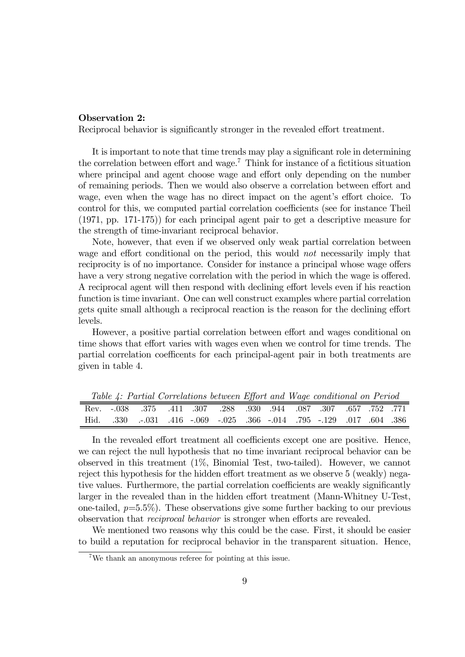#### Observation 2:

Reciprocal behavior is significantly stronger in the revealed effort treatment.

It is important to note that time trends may play a significant role in determining the correlation between effort and wage.<sup>7</sup> Think for instance of a fictitious situation where principal and agent choose wage and effort only depending on the number of remaining periods. Then we would also observe a correlation between effort and wage, even when the wage has no direct impact on the agent's effort choice. To control for this, we computed partial correlation coefficients (see for instance Theil (1971, pp. 171-175)) for each principal agent pair to get a descriptive measure for the strength of time-invariant reciprocal behavior.

Note, however, that even if we observed only weak partial correlation between wage and effort conditional on the period, this would *not* necessarily imply that reciprocity is of no importance. Consider for instance a principal whose wage offers have a very strong negative correlation with the period in which the wage is offered. A reciprocal agent will then respond with declining effort levels even if his reaction function is time invariant. One can well construct examples where partial correlation gets quite small although a reciprocal reaction is the reason for the declining effort levels.

However, a positive partial correlation between effort and wages conditional on time shows that effort varies with wages even when we control for time trends. The partial correlation coefficents for each principal-agent pair in both treatments are given in table 4.

|  |  | Table 4: Partial Correlations between Effort and Wage conditional on Period     |  |  |  |  |
|--|--|---------------------------------------------------------------------------------|--|--|--|--|
|  |  | 771. 527. 527. 657. 657. 528. 930. 944. 930. 579. 579. 571. 579. 579. 657. 657. |  |  |  |  |
|  |  | 386. 014. 017. 129. 129. 129. 129. 1366. 015. 0.05. 116. 116. 116. 1390.        |  |  |  |  |

In the revealed effort treatment all coefficients except one are positive. Hence, we can reject the null hypothesis that no time invariant reciprocal behavior can be observed in this treatment (1%, Binomial Test, two-tailed). However, we cannot reject this hypothesis for the hidden effort treatment as we observe 5 (weakly) negative values. Furthermore, the partial correlation coefficients are weakly significantly larger in the revealed than in the hidden effort treatment (Mann-Whitney U-Test, one-tailed,  $p=5.5\%$ ). These observations give some further backing to our previous observation that reciprocal behavior is stronger when efforts are revealed.

We mentioned two reasons why this could be the case. First, it should be easier to build a reputation for reciprocal behavior in the transparent situation. Hence,

<sup>7</sup>We thank an anonymous referee for pointing at this issue.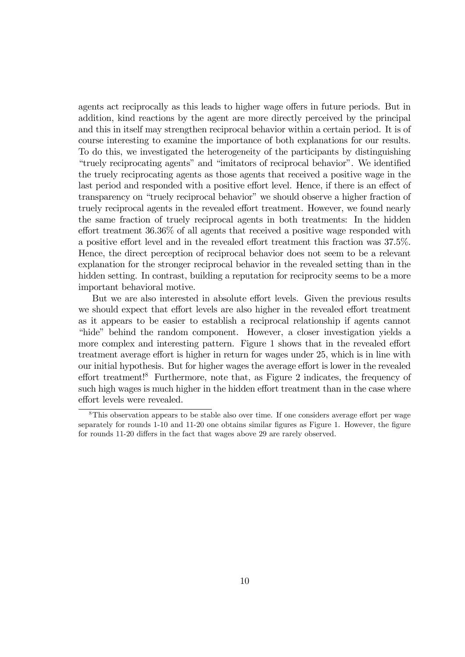agents act reciprocally as this leads to higher wage offers in future periods. But in addition, kind reactions by the agent are more directly perceived by the principal and this in itself may strengthen reciprocal behavior within a certain period. It is of course interesting to examine the importance of both explanations for our results. To do this, we investigated the heterogeneity of the participants by distinguishing "truely reciprocating agents" and "imitators of reciprocal behavior". We identified the truely reciprocating agents as those agents that received a positive wage in the last period and responded with a positive effort level. Hence, if there is an effect of transparency on "truely reciprocal behavior" we should observe a higher fraction of truely reciprocal agents in the revealed effort treatment. However, we found nearly the same fraction of truely reciprocal agents in both treatments: In the hidden effort treatment 36.36% of all agents that received a positive wage responded with a positive effort level and in the revealed effort treatment this fraction was 37.5%. Hence, the direct perception of reciprocal behavior does not seem to be a relevant explanation for the stronger reciprocal behavior in the revealed setting than in the hidden setting. In contrast, building a reputation for reciprocity seems to be a more important behavioral motive.

But we are also interested in absolute effort levels. Given the previous results we should expect that effort levels are also higher in the revealed effort treatment as it appears to be easier to establish a reciprocal relationship if agents cannot "hide" behind the random component. However, a closer investigation yields a more complex and interesting pattern. Figure 1 shows that in the revealed effort treatment average effort is higher in return for wages under 25, which is in line with our initial hypothesis. But for higher wages the average effort is lower in the revealed effort treatment!8 Furthermore, note that, as Figure 2 indicates, the frequency of such high wages is much higher in the hidden effort treatment than in the case where effort levels were revealed.

<sup>8</sup>This observation appears to be stable also over time. If one considers average effort per wage separately for rounds 1-10 and 11-20 one obtains similar figures as Figure 1. However, the figure for rounds 11-20 differs in the fact that wages above 29 are rarely observed.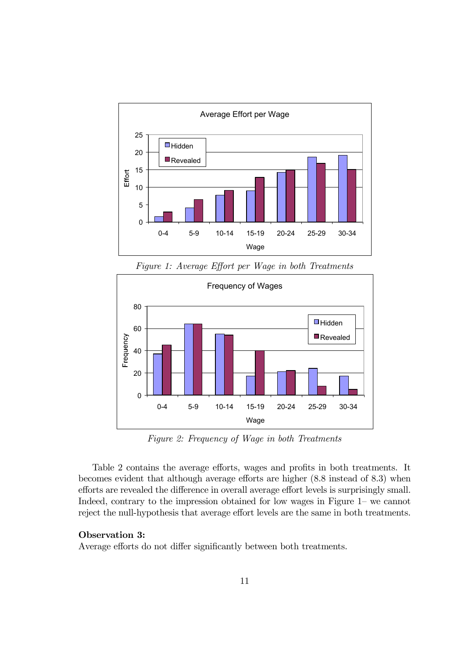

Figure 1: Average Effort per Wage in both Treatments



Figure 2: Frequency of Wage in both Treatments

Table 2 contains the average efforts, wages and profits in both treatments. It becomes evident that although average efforts are higher (8.8 instead of 8.3) when efforts are revealed the difference in overall average effort levels is surprisingly small. Indeed, contrary to the impression obtained for low wages in Figure 1— we cannot reject the null-hypothesis that average effort levels are the same in both treatments.

#### Observation 3:

Average efforts do not differ significantly between both treatments.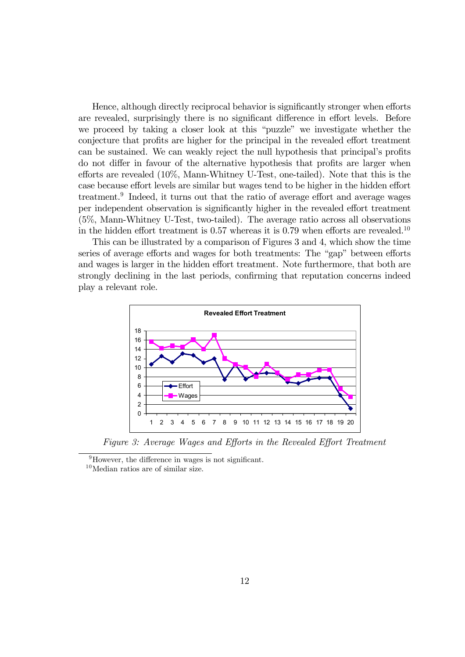Hence, although directly reciprocal behavior is significantly stronger when efforts are revealed, surprisingly there is no significant difference in effort levels. Before we proceed by taking a closer look at this "puzzle" we investigate whether the conjecture that profits are higher for the principal in the revealed effort treatment can be sustained. We can weakly reject the null hypothesis that principal's profits do not differ in favour of the alternative hypothesis that profits are larger when efforts are revealed (10%, Mann-Whitney U-Test, one-tailed). Note that this is the case because effort levels are similar but wages tend to be higher in the hidden effort treatment.<sup>9</sup> Indeed, it turns out that the ratio of average effort and average wages per independent observation is significantly higher in the revealed effort treatment (5%, Mann-Whitney U-Test, two-tailed). The average ratio across all observations in the hidden effort treatment is  $0.57$  whereas it is  $0.79$  when efforts are revealed.<sup>10</sup>

This can be illustrated by a comparison of Figures 3 and 4, which show the time series of average efforts and wages for both treatments: The "gap" between efforts and wages is larger in the hidden effort treatment. Note furthermore, that both are strongly declining in the last periods, confirming that reputation concerns indeed play a relevant role.



Figure 3: Average Wages and Efforts in the Revealed Effort Treatment

 $^{9}$ However, the difference in wages is not significant.

 $10$ Median ratios are of similar size.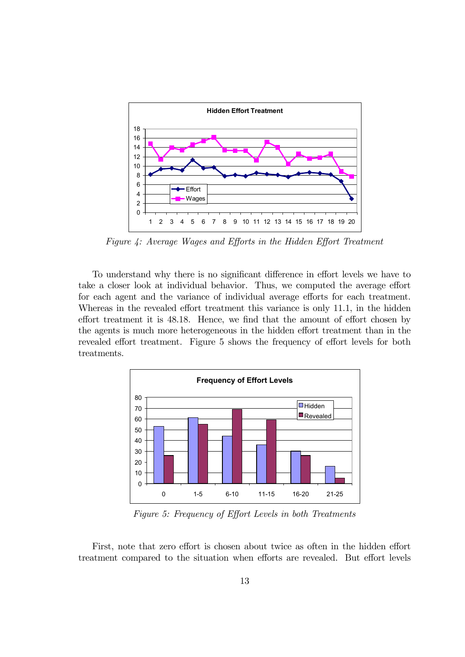

Figure 4: Average Wages and Efforts in the Hidden Effort Treatment

To understand why there is no significant difference in effort levels we have to take a closer look at individual behavior. Thus, we computed the average effort for each agent and the variance of individual average efforts for each treatment. Whereas in the revealed effort treatment this variance is only 11.1, in the hidden effort treatment it is 48.18. Hence, we find that the amount of effort chosen by the agents is much more heterogeneous in the hidden effort treatment than in the revealed effort treatment. Figure 5 shows the frequency of effort levels for both treatments.



Figure 5: Frequency of Effort Levels in both Treatments

First, note that zero effort is chosen about twice as often in the hidden effort treatment compared to the situation when efforts are revealed. But effort levels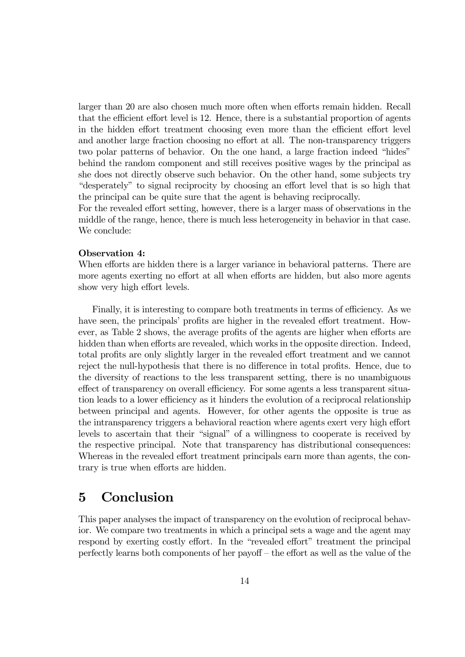larger than 20 are also chosen much more often when efforts remain hidden. Recall that the efficient effort level is 12. Hence, there is a substantial proportion of agents in the hidden effort treatment choosing even more than the efficient effort level and another large fraction choosing no effort at all. The non-transparency triggers two polar patterns of behavior. On the one hand, a large fraction indeed "hides" behind the random component and still receives positive wages by the principal as she does not directly observe such behavior. On the other hand, some subjects try "desperately" to signal reciprocity by choosing an effort level that is so high that the principal can be quite sure that the agent is behaving reciprocally.

For the revealed effort setting, however, there is a larger mass of observations in the middle of the range, hence, there is much less heterogeneity in behavior in that case. We conclude:

#### Observation 4:

When efforts are hidden there is a larger variance in behavioral patterns. There are more agents exerting no effort at all when efforts are hidden, but also more agents show very high effort levels.

Finally, it is interesting to compare both treatments in terms of efficiency. As we have seen, the principals' profits are higher in the revealed effort treatment. However, as Table 2 shows, the average profits of the agents are higher when efforts are hidden than when efforts are revealed, which works in the opposite direction. Indeed, total profits are only slightly larger in the revealed effort treatment and we cannot reject the null-hypothesis that there is no difference in total profits. Hence, due to the diversity of reactions to the less transparent setting, there is no unambiguous effect of transparency on overall efficiency. For some agents a less transparent situation leads to a lower efficiency as it hinders the evolution of a reciprocal relationship between principal and agents. However, for other agents the opposite is true as the intransparency triggers a behavioral reaction where agents exert very high effort levels to ascertain that their "signal" of a willingness to cooperate is received by the respective principal. Note that transparency has distributional consequences: Whereas in the revealed effort treatment principals earn more than agents, the contrary is true when efforts are hidden.

## 5 Conclusion

This paper analyses the impact of transparency on the evolution of reciprocal behavior. We compare two treatments in which a principal sets a wage and the agent may respond by exerting costly effort. In the "revealed effort" treatment the principal perfectly learns both components of her payoff — the effort as well as the value of the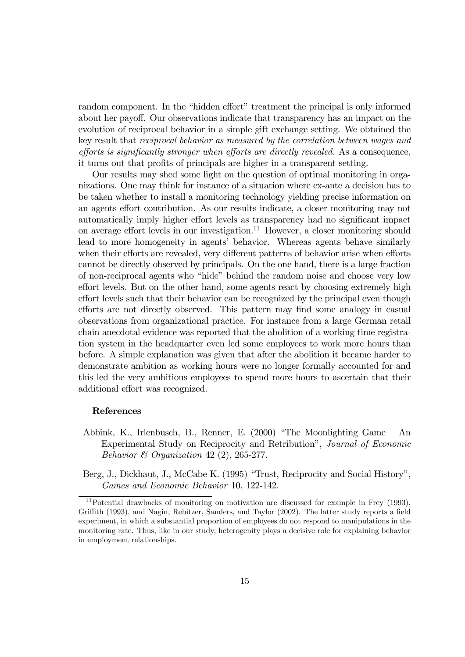random component. In the "hidden effort" treatment the principal is only informed about her payoff. Our observations indicate that transparency has an impact on the evolution of reciprocal behavior in a simple gift exchange setting. We obtained the key result that reciprocal behavior as measured by the correlation between wages and efforts is significantly stronger when efforts are directly revealed. As a consequence, it turns out that profits of principals are higher in a transparent setting.

Our results may shed some light on the question of optimal monitoring in organizations. One may think for instance of a situation where ex-ante a decision has to be taken whether to install a monitoring technology yielding precise information on an agents effort contribution. As our results indicate, a closer monitoring may not automatically imply higher effort levels as transparency had no significant impact on average effort levels in our investigation.<sup>11</sup> However, a closer monitoring should lead to more homogeneity in agents' behavior. Whereas agents behave similarly when their efforts are revealed, very different patterns of behavior arise when efforts cannot be directly observed by principals. On the one hand, there is a large fraction of non-reciprocal agents who "hide" behind the random noise and choose very low effort levels. But on the other hand, some agents react by choosing extremely high effort levels such that their behavior can be recognized by the principal even though efforts are not directly observed. This pattern may find some analogy in casual observations from organizational practice. For instance from a large German retail chain anecdotal evidence was reported that the abolition of a working time registration system in the headquarter even led some employees to work more hours than before. A simple explanation was given that after the abolition it became harder to demonstrate ambition as working hours were no longer formally accounted for and this led the very ambitious employees to spend more hours to ascertain that their additional effort was recognized.

#### References

- Abbink, K., Irlenbusch, B., Renner, E. (2000) "The Moonlighting Game An Experimental Study on Reciprocity and Retribution", Journal of Economic Behavior  $\mathcal B$  Organization 42 (2), 265-277.
- Berg, J., Dickhaut, J., McCabe K. (1995) "Trust, Reciprocity and Social History", Games and Economic Behavior 10, 122-142.

<sup>11</sup>Potential drawbacks of monitoring on motivation are discussed for example in Frey (1993), Griffith (1993), and Nagin, Rebitzer, Sanders, and Taylor (2002). The latter study reports a field experiment, in which a substantial proportion of employees do not respond to manipulations in the monitoring rate. Thus, like in our study, heterogenity plays a decisive role for explaining behavior in employment relationships.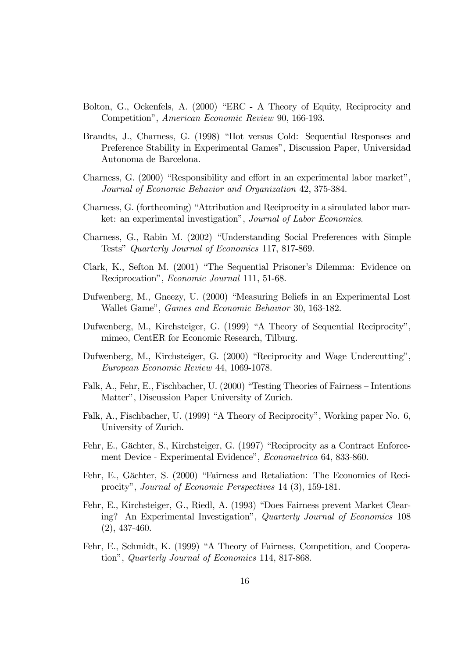- Bolton, G., Ockenfels, A. (2000) "ERC A Theory of Equity, Reciprocity and Competition", American Economic Review 90, 166-193.
- Brandts, J., Charness, G. (1998) "Hot versus Cold: Sequential Responses and Preference Stability in Experimental Games", Discussion Paper, Universidad Autonoma de Barcelona.
- Charness, G. (2000) "Responsibility and effort in an experimental labor market", Journal of Economic Behavior and Organization 42, 375-384.
- Charness, G. (forthcoming) "Attribution and Reciprocity in a simulated labor market: an experimental investigation", Journal of Labor Economics.
- Charness, G., Rabin M. (2002) "Understanding Social Preferences with Simple Tests" Quarterly Journal of Economics 117, 817-869.
- Clark, K., Sefton M. (2001) "The Sequential Prisoner's Dilemma: Evidence on Reciprocation", Economic Journal 111, 51-68.
- Dufwenberg, M., Gneezy, U. (2000) "Measuring Beliefs in an Experimental Lost Wallet Game", Games and Economic Behavior 30, 163-182.
- Dufwenberg, M., Kirchsteiger, G. (1999) "A Theory of Sequential Reciprocity", mimeo, CentER for Economic Research, Tilburg.
- Dufwenberg, M., Kirchsteiger, G. (2000) "Reciprocity and Wage Undercutting", European Economic Review 44, 1069-1078.
- Falk, A., Fehr, E., Fischbacher, U. (2000) "Testing Theories of Fairness Intentions Matter", Discussion Paper University of Zurich.
- Falk, A., Fischbacher, U. (1999) "A Theory of Reciprocity", Working paper No. 6, University of Zurich.
- Fehr, E., Gächter, S., Kirchsteiger, G. (1997) "Reciprocity as a Contract Enforcement Device - Experimental Evidence", Econometrica 64, 833-860.
- Fehr, E., Gächter, S. (2000) "Fairness and Retaliation: The Economics of Reciprocity", Journal of Economic Perspectives 14 (3), 159-181.
- Fehr, E., Kirchsteiger, G., Riedl, A. (1993) "Does Fairness prevent Market Clearing? An Experimental Investigation", Quarterly Journal of Economics 108 (2), 437-460.
- Fehr, E., Schmidt, K. (1999) "A Theory of Fairness, Competition, and Cooperation", Quarterly Journal of Economics 114, 817-868.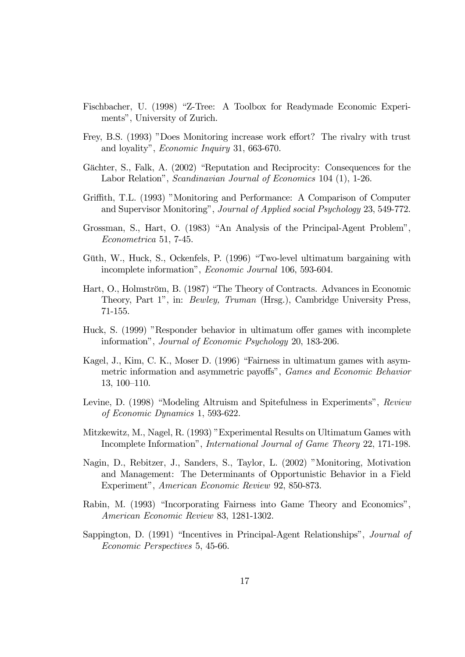- Fischbacher, U. (1998) "Z-Tree: A Toolbox for Readymade Economic Experiments", University of Zurich.
- Frey, B.S. (1993) "Does Monitoring increase work effort? The rivalry with trust and loyality", Economic Inquiry 31, 663-670.
- Gächter, S., Falk, A. (2002) "Reputation and Reciprocity: Consequences for the Labor Relation", Scandinavian Journal of Economics 104 (1), 1-26.
- Griffith, T.L. (1993) "Monitoring and Performance: A Comparison of Computer and Supervisor Monitoring", Journal of Applied social Psychology 23, 549-772.
- Grossman, S., Hart, O. (1983) "An Analysis of the Principal-Agent Problem", Econometrica 51, 7-45.
- Güth, W., Huck, S., Ockenfels, P. (1996) "Two-level ultimatum bargaining with incomplete information", Economic Journal 106, 593-604.
- Hart, O., Holmström, B. (1987) "The Theory of Contracts. Advances in Economic Theory, Part 1", in: Bewley, Truman (Hrsg.), Cambridge University Press, 71-155.
- Huck, S. (1999) "Responder behavior in ultimatum offer games with incomplete information", Journal of Economic Psychology 20, 183-206.
- Kagel, J., Kim, C. K., Moser D. (1996) "Fairness in ultimatum games with asymmetric information and asymmetric payoffs", Games and Economic Behavior 13, 100—110.
- Levine, D. (1998) "Modeling Altruism and Spitefulness in Experiments", Review of Economic Dynamics 1, 593-622.
- Mitzkewitz, M., Nagel, R. (1993) "Experimental Results on Ultimatum Games with Incomplete Information", International Journal of Game Theory 22, 171-198.
- Nagin, D., Rebitzer, J., Sanders, S., Taylor, L. (2002) "Monitoring, Motivation and Management: The Determinants of Opportunistic Behavior in a Field Experiment", American Economic Review 92, 850-873.
- Rabin, M. (1993) "Incorporating Fairness into Game Theory and Economics", American Economic Review 83, 1281-1302.
- Sappington, D. (1991) "Incentives in Principal-Agent Relationships", Journal of Economic Perspectives 5, 45-66.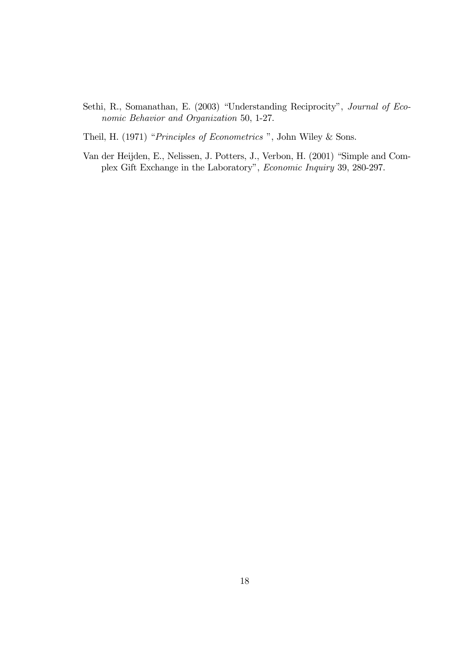Sethi, R., Somanathan, E. (2003) "Understanding Reciprocity", Journal of Economic Behavior and Organization 50, 1-27.

Theil, H. (1971) "Principles of Econometrics ", John Wiley & Sons.

Van der Heijden, E., Nelissen, J. Potters, J., Verbon, H. (2001) "Simple and Complex Gift Exchange in the Laboratory", Economic Inquiry 39, 280-297.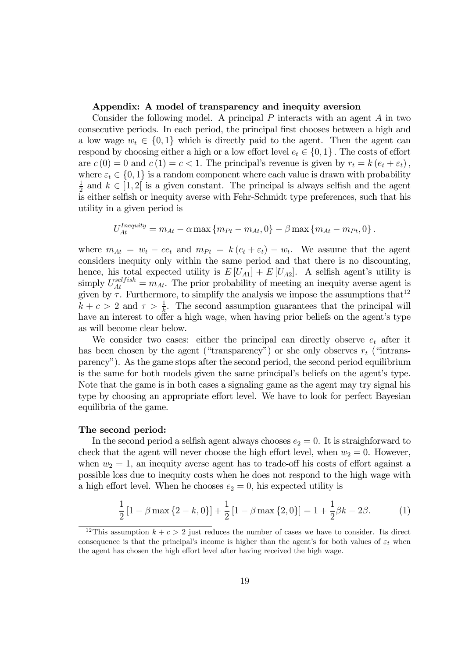#### Appendix: A model of transparency and inequity aversion

Consider the following model. A principal  $P$  interacts with an agent  $A$  in two consecutive periods. In each period, the principal first chooses between a high and a low wage  $w_t \in \{0,1\}$  which is directly paid to the agent. Then the agent can respond by choosing either a high or a low effort level  $e_t \in \{0,1\}$ . The costs of effort are  $c(0) = 0$  and  $c(1) = c < 1$ . The principal's revenue is given by  $r_t = k(e_t + \varepsilon_t)$ , where  $\varepsilon_t \in \{0,1\}$  is a random component where each value is drawn with probability  $\frac{1}{2}$  and  $k \in ]1,2[$  is a given constant. The principal is always selfish and the agent is either selfish or inequity averse with Fehr-Schmidt type preferences, such that his utility in a given period is

$$
U_{At}^{Inequality} = m_{At} - \alpha \max \{m_{Pt} - m_{At}, 0\} - \beta \max \{m_{At} - m_{Pt}, 0\}.
$$

where  $m_{At} = w_t - ce_t$  and  $m_{Pt} = k(e_t + \varepsilon_t) - w_t$ . We assume that the agent considers inequity only within the same period and that there is no discounting, hence, his total expected utility is  $E[U_{A1}] + E[U_{A2}]$ . A selfish agent's utility is simply  $U_{At}^{selfish} = m_{At}$ . The prior probability of meeting an inequity averse agent is given by  $\tau$ . Furthermore, to simplify the analysis we impose the assumptions that<sup>12</sup>  $k + c > 2$  and  $\tau > \frac{1}{k}$ . The second assumption guarantees that the principal will have an interest to offer a high wage, when having prior beliefs on the agent's type as will become clear below.

We consider two cases: either the principal can directly observe  $e_t$  after it has been chosen by the agent ("transparency") or she only observes  $r_t$  ("intransparency"). As the game stops after the second period, the second period equilibrium is the same for both models given the same principal's beliefs on the agent's type. Note that the game is in both cases a signaling game as the agent may try signal his type by choosing an appropriate effort level. We have to look for perfect Bayesian equilibria of the game.

#### The second period:

In the second period a selfish agent always chooses  $e_2 = 0$ . It is straighforward to check that the agent will never choose the high effort level, when  $w_2 = 0$ . However, when  $w_2 = 1$ , an inequity averse agent has to trade-off his costs of effort against a possible loss due to inequity costs when he does not respond to the high wage with a high effort level. When he chooses  $e_2 = 0$ , his expected utility is

$$
\frac{1}{2}\left[1 - \beta \max\left\{2 - k, 0\right\}\right] + \frac{1}{2}\left[1 - \beta \max\left\{2, 0\right\}\right] = 1 + \frac{1}{2}\beta k - 2\beta. \tag{1}
$$

<sup>&</sup>lt;sup>12</sup>This assumption  $k + c > 2$  just reduces the number of cases we have to consider. Its direct consequence is that the principal's income is higher than the agent's for both values of  $\varepsilon_t$  when the agent has chosen the high effort level after having received the high wage.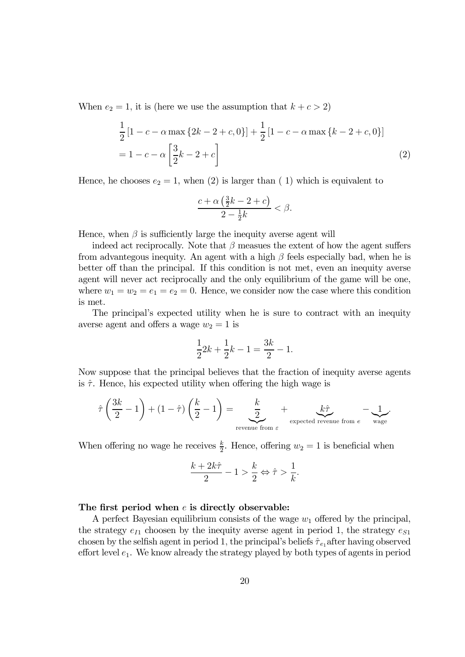When  $e_2 = 1$ , it is (here we use the assumption that  $k + c > 2$ )

$$
\frac{1}{2}[1 - c - \alpha \max\{2k - 2 + c, 0\}] + \frac{1}{2}[1 - c - \alpha \max\{k - 2 + c, 0\}]
$$
  
= 1 - c - \alpha \left[\frac{3}{2}k - 2 + c\right] (2)

Hence, he chooses  $e_2 = 1$ , when (2) is larger than (1) which is equivalent to

$$
\frac{c+\alpha\left(\frac{3}{2}k-2+c\right)}{2-\frac{1}{2}k}<\beta.
$$

Hence, when  $\beta$  is sufficiently large the inequity averse agent will

indeed act reciprocally. Note that  $\beta$  measues the extent of how the agent suffers from advantegous inequity. An agent with a high  $\beta$  feels especially bad, when he is better off than the principal. If this condition is not met, even an inequity averse agent will never act reciprocally and the only equilibrium of the game will be one, where  $w_1 = w_2 = e_1 = e_2 = 0$ . Hence, we consider now the case where this condition is met.

The principal's expected utility when he is sure to contract with an inequity averse agent and offers a wage  $w_2 = 1$  is

$$
\frac{1}{2}2k + \frac{1}{2}k - 1 = \frac{3k}{2} - 1.
$$

Now suppose that the principal believes that the fraction of inequity averse agents is  $\hat{\tau}$ . Hence, his expected utility when offering the high wage is

$$
\hat{\tau}\left(\frac{3k}{2}-1\right)+(1-\hat{\tau})\left(\frac{k}{2}-1\right)=\underbrace{\frac{k}{2}}_{\text{revenue from }\varepsilon}+\underbrace{\frac{k\hat{\tau}}{\text{expected revenue from }e}}_{\text{expected revenue from }e}-\underbrace{1}_{\text{wage}}.
$$

When offering no wage he receives  $\frac{k}{2}$ . Hence, offering  $w_2 = 1$  is beneficial when

$$
\frac{k+2k\hat{\tau}}{2} - 1 > \frac{k}{2} \Leftrightarrow \hat{\tau} > \frac{1}{k}.
$$

#### The first period when  $e$  is directly observable:

A perfect Bayesian equilibrium consists of the wage  $w_1$  offered by the principal, the strategy  $e_{I1}$  choosen by the inequity averse agent in period 1, the strategy  $e_{S1}$ chosen by the selfish agent in period 1, the principal's beliefs  $\hat{\tau}_{e_1}$  after having observed effort level  $e_1$ . We know already the strategy played by both types of agents in period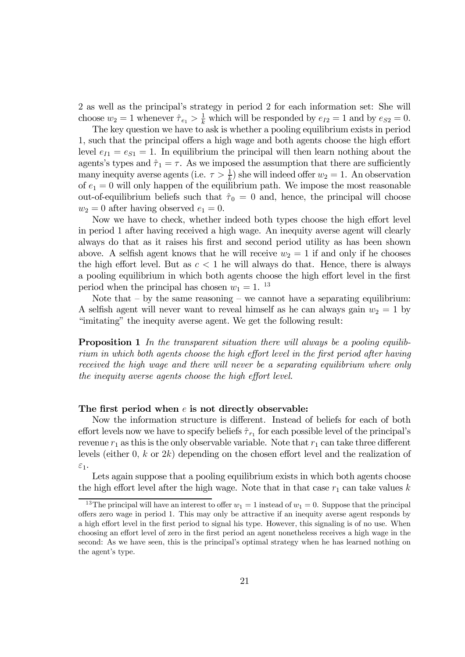2 as well as the principal's strategy in period 2 for each information set: She will choose  $w_2 = 1$  whenever  $\hat{\tau}_{e_1} > \frac{1}{k}$  which will be responded by  $e_{I2} = 1$  and by  $e_{S2} = 0$ .

The key question we have to ask is whether a pooling equilibrium exists in period 1, such that the principal offers a high wage and both agents choose the high effort level  $e_{11} = e_{51} = 1$ . In equilibrium the principal will then learn nothing about the agents's types and  $\hat{\tau}_1 = \tau$ . As we imposed the assumption that there are sufficiently many inequity averse agents (i.e.  $\tau > \frac{1}{k}$ ) she will indeed offer  $w_2 = 1$ . An observation of  $e_1 = 0$  will only happen of the equilibrium path. We impose the most reasonable out-of-equilibrium beliefs such that  $\hat{\tau}_0 = 0$  and, hence, the principal will choose  $w_2 = 0$  after having observed  $e_1 = 0$ .

Now we have to check, whether indeed both types choose the high effort level in period 1 after having received a high wage. An inequity averse agent will clearly always do that as it raises his first and second period utility as has been shown above. A selfish agent knows that he will receive  $w_2 = 1$  if and only if he chooses the high effort level. But as  $c < 1$  he will always do that. Hence, there is always a pooling equilibrium in which both agents choose the high effort level in the first period when the principal has chosen  $w_1 = 1$ . <sup>13</sup>

Note that  $-$  by the same reasoning  $-$  we cannot have a separating equilibrium: A selfish agent will never want to reveal himself as he can always gain  $w_2 = 1$  by "imitating" the inequity averse agent. We get the following result:

**Proposition 1** In the transparent situation there will always be a pooling equilibrium in which both agents choose the high effort level in the first period after having received the high wage and there will never be a separating equilibrium where only the inequity averse agents choose the high effort level.

#### The first period when  $e$  is not directly observable:

Now the information structure is different. Instead of beliefs for each of both effort levels now we have to specify beliefs  $\hat{\tau}_{r_1}$  for each possible level of the principal's revenue  $r_1$  as this is the only observable variable. Note that  $r_1$  can take three different levels (either  $0, k$  or  $2k$ ) depending on the chosen effort level and the realization of  $\varepsilon_1$ .

Lets again suppose that a pooling equilibrium exists in which both agents choose the high effort level after the high wage. Note that in that case  $r_1$  can take values k

<sup>&</sup>lt;sup>13</sup>The principal will have an interest to offer  $w_1 = 1$  instead of  $w_1 = 0$ . Suppose that the principal offers zero wage in period 1. This may only be attractive if an inequity averse agent responds by a high effort level in the first period to signal his type. However, this signaling is of no use. When choosing an effort level of zero in the first period an agent nonetheless receives a high wage in the second: As we have seen, this is the principal's optimal strategy when he has learned nothing on the agent's type.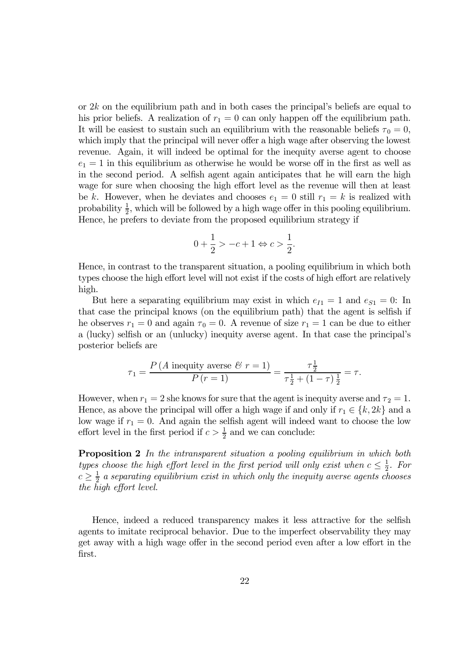or  $2k$  on the equilibrium path and in both cases the principal's beliefs are equal to his prior beliefs. A realization of  $r_1 = 0$  can only happen off the equilibrium path. It will be easiest to sustain such an equilibrium with the reasonable beliefs  $\tau_0 = 0$ , which imply that the principal will never offer a high wage after observing the lowest revenue. Again, it will indeed be optimal for the inequity averse agent to choose  $e_1 = 1$  in this equilibrium as otherwise he would be worse off in the first as well as in the second period. A selfish agent again anticipates that he will earn the high wage for sure when choosing the high effort level as the revenue will then at least be k. However, when he deviates and chooses  $e_1 = 0$  still  $r_1 = k$  is realized with probability  $\frac{1}{2}$ , which will be followed by a high wage offer in this pooling equilibrium. Hence, he prefers to deviate from the proposed equilibrium strategy if

$$
0 + \frac{1}{2} > -c + 1 \Leftrightarrow c > \frac{1}{2}.
$$

Hence, in contrast to the transparent situation, a pooling equilibrium in which both types choose the high effort level will not exist if the costs of high effort are relatively high.

But here a separating equilibrium may exist in which  $e_{I1} = 1$  and  $e_{S1} = 0$ : In that case the principal knows (on the equilibrium path) that the agent is selfish if he observes  $r_1 = 0$  and again  $\tau_0 = 0$ . A revenue of size  $r_1 = 1$  can be due to either a (lucky) selfish or an (unlucky) inequity averse agent. In that case the principal's posterior beliefs are

$$
\tau_1 = \frac{P(A \text{ inequality averse } \ell^{\circ} r = 1)}{P(r = 1)} = \frac{\tau \frac{1}{2}}{\tau \frac{1}{2} + (1 - \tau) \frac{1}{2}} = \tau.
$$

However, when  $r_1 = 2$  she knows for sure that the agent is inequity averse and  $\tau_2 = 1$ . Hence, as above the principal will offer a high wage if and only if  $r_1 \in \{k, 2k\}$  and a low wage if  $r_1 = 0$ . And again the selfish agent will indeed want to choose the low effort level in the first period if  $c > \frac{1}{2}$  and we can conclude:

**Proposition 2** In the intransparent situation a pooling equilibrium in which both types choose the high effort level in the first period will only exist when  $c \leq \frac{1}{2}$ . For  $c \geq \frac{1}{2}$  a separating equilibrium exist in which only the inequity averse agents chooses the high effort level.

Hence, indeed a reduced transparency makes it less attractive for the selfish agents to imitate reciprocal behavior. Due to the imperfect observability they may get away with a high wage offer in the second period even after a low effort in the first.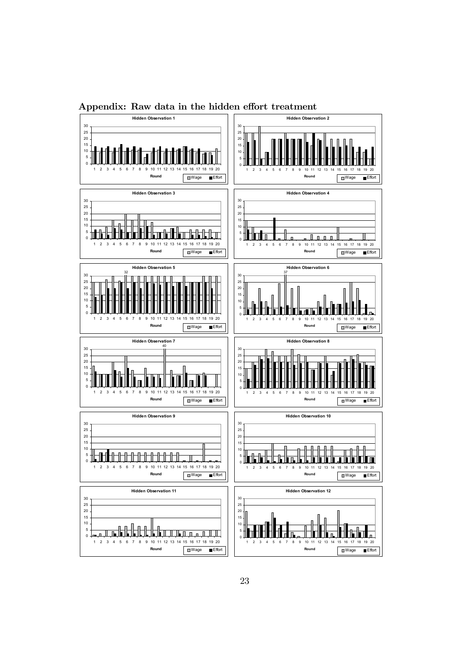

Appendix: Raw data in the hidden effort treatment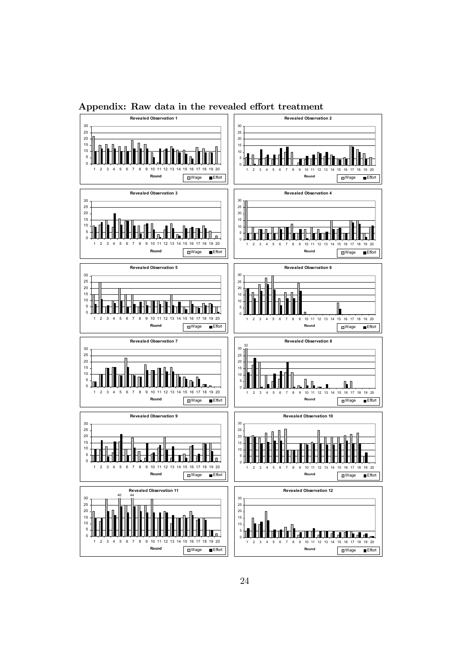

Appendix: Raw data in the revealed effort treatment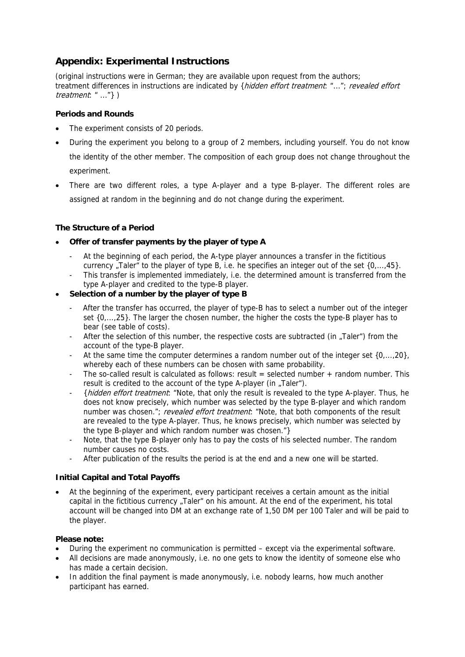### **Appendix: Experimental Instructions**

(original instructions were in German; they are available upon request from the authors; treatment differences in instructions are indicated by *{hidden effort treatment: "..."; revealed effort* treatment:  $" \dots"$ }

#### **Periods and Rounds**

- The experiment consists of 20 periods.
- During the experiment you belong to a group of 2 members, including yourself. You do not know the identity of the other member. The composition of each group does not change throughout the experiment.
- There are two different roles, a type A-player and a type B-player. The different roles are assigned at random in the beginning and do not change during the experiment.

#### **The Structure of a Period**

- • **Offer of transfer payments by the player of type A** 
	- At the beginning of each period, the A-type player announces a transfer in the fictitious currency "Taler" to the player of type B, i.e. he specifies an integer out of the set {0,...,45}.
	- This transfer is implemented immediately, i.e. the determined amount is transferred from the type A-player and credited to the type-B player.
- • **Selection of a number by the player of type B** 
	- After the transfer has occurred, the player of type-B has to select a number out of the integer set {0,...,25}. The larger the chosen number, the higher the costs the type-B player has to bear (see table of costs).
	- After the selection of this number, the respective costs are subtracted (in "Taler") from the account of the type-B player.
	- At the same time the computer determines a random number out of the integer set {0,...,20}, whereby each of these numbers can be chosen with same probability.
	- The so-called result is calculated as follows: result  $=$  selected number + random number. This result is credited to the account of the type A-player (in Taler").
	- {hidden effort treatment: "Note, that only the result is revealed to the type A-player. Thus, he does not know precisely, which number was selected by the type B-player and which random number was chosen."; revealed effort treatment: "Note, that both components of the result are revealed to the type A-player. Thus, he knows precisely, which number was selected by the type B-player and which random number was chosen."}
	- Note, that the type B-player only has to pay the costs of his selected number. The random number causes no costs.
	- After publication of the results the period is at the end and a new one will be started.

#### **Initial Capital and Total Payoffs**

• At the beginning of the experiment, every participant receives a certain amount as the initial capital in the fictitious currency "Taler" on his amount. At the end of the experiment, his total account will be changed into DM at an exchange rate of 1,50 DM per 100 Taler and will be paid to the player.

#### **Please note:**

- During the experiment no communication is permitted except via the experimental software.
- All decisions are made anonymously, i.e. no one gets to know the identity of someone else who has made a certain decision.
- In addition the final payment is made anonymously, i.e. nobody learns, how much another participant has earned.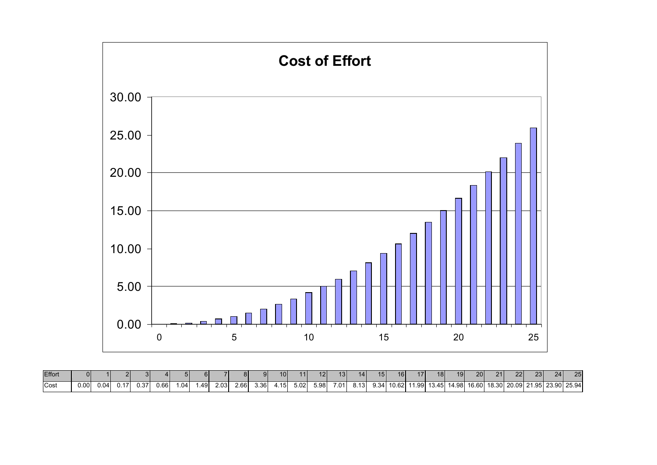

| <b>Effort</b> |      |      |              |      |       | ווכ |     |      |      |      | 10 <sub>1</sub> | $\vert$ 1 |      | 13 <sup>1</sup> | 4    | 15 <sub>l</sub> | 161      |      | 18 I | 191         | 20 <sub>l</sub> | 21                            | 22 <sub>1</sub> | ומר<br>40 F | 24 | 25 |
|---------------|------|------|--------------|------|-------|-----|-----|------|------|------|-----------------|-----------|------|-----------------|------|-----------------|----------|------|------|-------------|-----------------|-------------------------------|-----------------|-------------|----|----|
| Cost          | 0.00 | 0.04 | 0.17<br>J 17 | 0.37 | 0.661 | .04 | .49 | 2.03 | 2.66 | კ.36 | 4.15            | 5.02      | 5.98 | 7.01            | 8.13 | 9.34            | 10.62 11 | . 99 |      | 13.45 14.98 | 16.60           | 18.30 20.09 21.95 23.90 25.94 |                 |             |    |    |